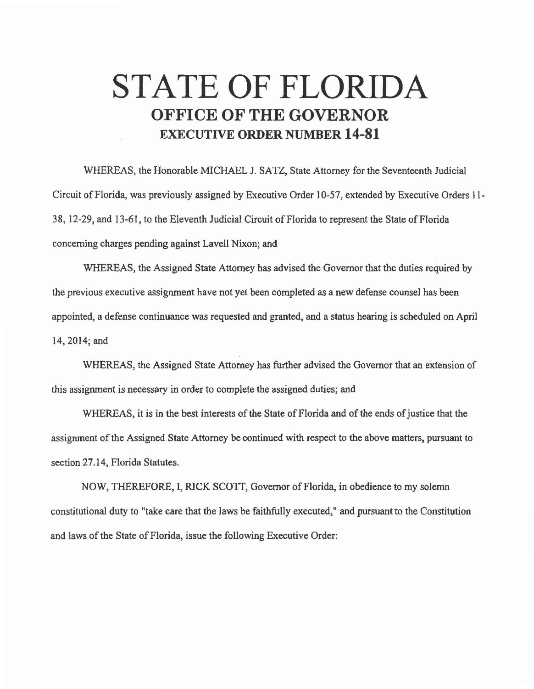## **STATE OF FLORIDA OFFICE OF THE GOVERNOR EXECUTIVE ORDER NUMBER 14-81**

WHEREAS, the Honorable MICHAEL J. SATZ, State Attorney for the Seventeenth Judicial Circuit of Florida, was previously assigned by Executive Order 10-57, extended by Executive Orders 11-38, 12-29, and 13-61, to the Eleventh Judicial Circuit of Florida to represent the State of Florida concerning charges pending against Lavell Nixon; and

WHEREAS, the Assigned State Attorney has advised the Governor that the duties required by the previous executive assignment have not yet been completed as a new defense counsel has been appointed, a defense continuance was requested and granted, and a status hearing is scheduled on April 14,2014; and

WHEREAS, the Assigned State Attorney has further advised the Governor that an extension of this assignment is necessary in order to complete the assigned duties; and

WHEREAS, it is in the best interests of the State of Florida and of the ends of justice that the assignment of the Assigned State Attorney be continued with respect to the above matters, pursuant to section 27.14, Florida Statutes.

NOW, THEREFORE, I, RICK SCOTT, Governor of Florida, in obedience to my solemn constitutional duty to "take care that the laws be faithfully executed," and pursuant to the Constitution and laws of the State of Florida, issue the following Executive Order: